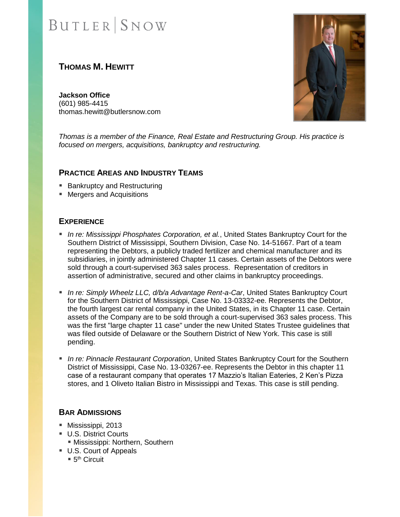# **BUTLER** SNOW

# **THOMAS M. HEWITT**

**Jackson Office** (601) 985-4415 thomas.hewitt@butlersnow.com



*Thomas is a member of the Finance, Real Estate and Restructuring Group. His practice is focused on mergers, acquisitions, bankruptcy and restructuring.*

#### **PRACTICE AREAS AND INDUSTRY TEAMS**

- Bankruptcy and Restructuring
- Mergers and Acquisitions

#### **EXPERIENCE**

- *In re: Mississippi Phosphates Corporation, et al.,* United States Bankruptcy Court for the Southern District of Mississippi, Southern Division, Case No. 14-51667. Part of a team representing the Debtors, a publicly traded fertilizer and chemical manufacturer and its subsidiaries, in jointly administered Chapter 11 cases. Certain assets of the Debtors were sold through a court-supervised 363 sales process. Representation of creditors in assertion of administrative, secured and other claims in bankruptcy proceedings.
- *In re: Simply Wheelz LLC, d/b/a Advantage Rent-a-Car*, United States Bankruptcy Court for the Southern District of Mississippi, Case No. 13-03332-ee. Represents the Debtor, the fourth largest car rental company in the United States, in its Chapter 11 case. Certain assets of the Company are to be sold through a court-supervised 363 sales process. This was the first "large chapter 11 case" under the new United States Trustee guidelines that was filed outside of Delaware or the Southern District of New York. This case is still pending.
- *In re: Pinnacle Restaurant Corporation*, United States Bankruptcy Court for the Southern District of Mississippi, Case No. 13-03267-ee. Represents the Debtor in this chapter 11 case of a restaurant company that operates 17 Mazzio's Italian Eateries, 2 Ken's Pizza stores, and 1 Oliveto Italian Bistro in Mississippi and Texas. This case is still pending.

### **BAR ADMISSIONS**

- Mississippi, 2013
- U.S. District Courts
	- **E** Mississippi: Northern, Southern
- U.S. Court of Appeals
	- $\blacksquare$  5<sup>th</sup> Circuit